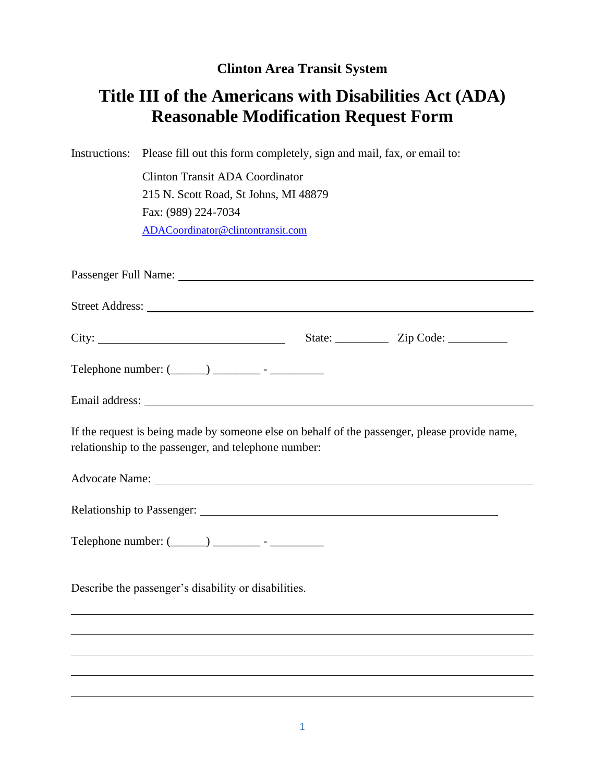## **Clinton Area Transit System**

## **Title III of the Americans with Disabilities Act (ADA) Reasonable Modification Request Form**

Instructions: Please fill out this form completely, sign and mail, fax, or email to:

Clinton Transit ADA Coordinator 215 N. Scott Road, St Johns, MI 48879 Fax: (989) 224-7034 [ADACoordinator@clintontransit.com](mailto:ADACoordinator@clintontransit.com)

| If the request is being made by someone else on behalf of the passenger, please provide name,<br>relationship to the passenger, and telephone number: |  |  |
|-------------------------------------------------------------------------------------------------------------------------------------------------------|--|--|
|                                                                                                                                                       |  |  |
|                                                                                                                                                       |  |  |
|                                                                                                                                                       |  |  |
| Describe the passenger's disability or disabilities.                                                                                                  |  |  |
|                                                                                                                                                       |  |  |
|                                                                                                                                                       |  |  |
|                                                                                                                                                       |  |  |
|                                                                                                                                                       |  |  |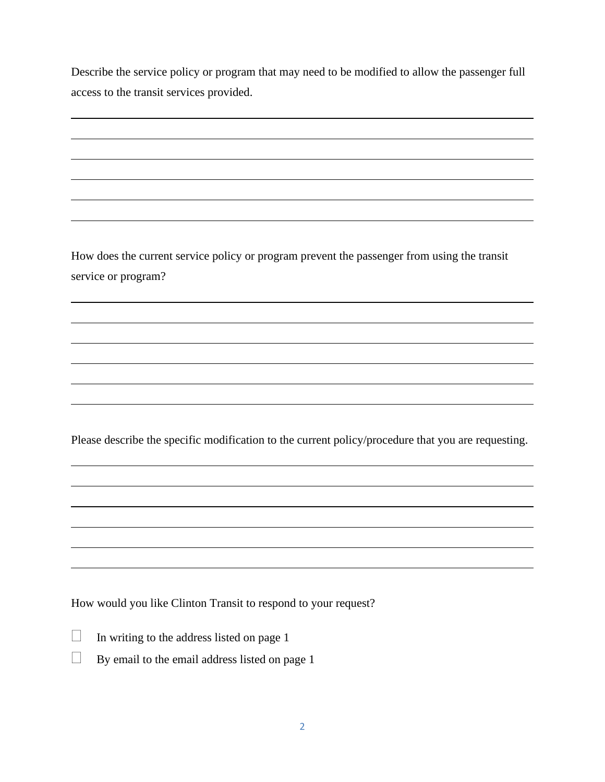Describe the service policy or program that may need to be modified to allow the passenger full access to the transit services provided.

How does the current service policy or program prevent the passenger from using the transit service or program?

Please describe the specific modification to the current policy/procedure that you are requesting.

How would you like Clinton Transit to respond to your request?

- $\Box$  In writing to the address listed on page 1
- $\Box$  By email to the email address listed on page 1